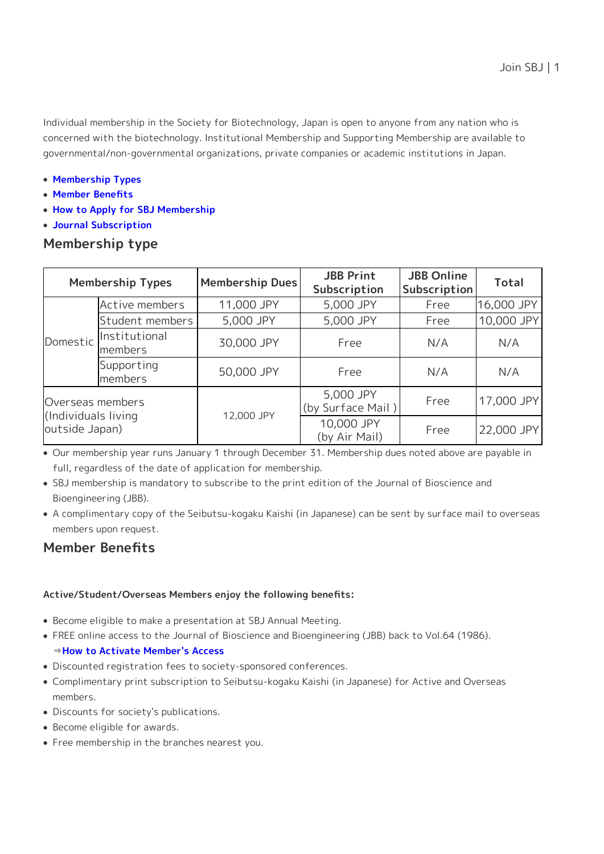Individual membership in the Society for Biotechnology, Japan is open to anyone from any nation who is concerned with the biotechnology. Institutional Membership and Supporting Membership are available to governmental/non-governmental organizations, private companies or academic institutions in Japan.

- **[Membership Types](#page-0-0)**
- **[Member Benefits](#page-0-1)**
- **[How to Apply for SBJ Membership](#page-1-0)**
- **[Journal Subscription](#page-2-0)**

## <span id="page-0-0"></span>**Membership type**

| <b>Membership Types</b>                                   |                          | Membership Dues | <b>JBB Print</b><br>Subscription | <b>JBB Online</b><br>Subscription | <b>Total</b> |
|-----------------------------------------------------------|--------------------------|-----------------|----------------------------------|-----------------------------------|--------------|
| Domestic                                                  | Active members           | 11,000 JPY      | 5,000 JPY                        | Free                              | 16,000 JPY   |
|                                                           | Student members          | 5,000 JPY       | 5,000 JPY                        | Free                              | 10,000 JPY   |
|                                                           | Institutional<br>members | 30,000 JPY      | Free                             | N/A                               | N/A          |
|                                                           | Supporting<br>members    | 50,000 JPY      | Free                             | N/A                               | N/A          |
| Overseas members<br>(Individuals living<br>outside Japan) |                          | 12,000 JPY      | 5,000 JPY<br>(by Surface Mail)   | Free                              | 17,000 JPY   |
|                                                           |                          |                 | 10,000 JPY<br>(by Air Mail)      | Free                              | 22,000 JPY   |

Our membership year runs January 1 through December 31. Membership dues noted above are payable in full, regardless of the date of application for membership.

- SBJ membership is mandatory to subscribe to the print edition of the Journal of Bioscience and Bioengineering (JBB).
- A complimentary copy of the Seibutsu-kogaku Kaishi (in Japanese) can be sent by surface mail to overseas members upon request.

# <span id="page-0-1"></span>**Member Benefits**

### **Active/Student/Overseas Members enjoy the following benefits:**

- Become eligible to make a presentation at SBJ Annual Meeting.
- FREE online access to the Journal of Bioscience and Bioengineering (JBB) back to Vol.64 (1986).

## ⇒**[How to Activate Member's Access](https://www.sbj.or.jp/e/jbb/jbb_member_access.html)**

- Discounted registration fees to society-sponsored conferences.
- Complimentary print subscription to Seibutsu-kogaku Kaishi (in Japanese) for Active and Overseas members.
- Discounts for society's publications.
- Become eligible for awards.
- Free membership in the branches nearest you.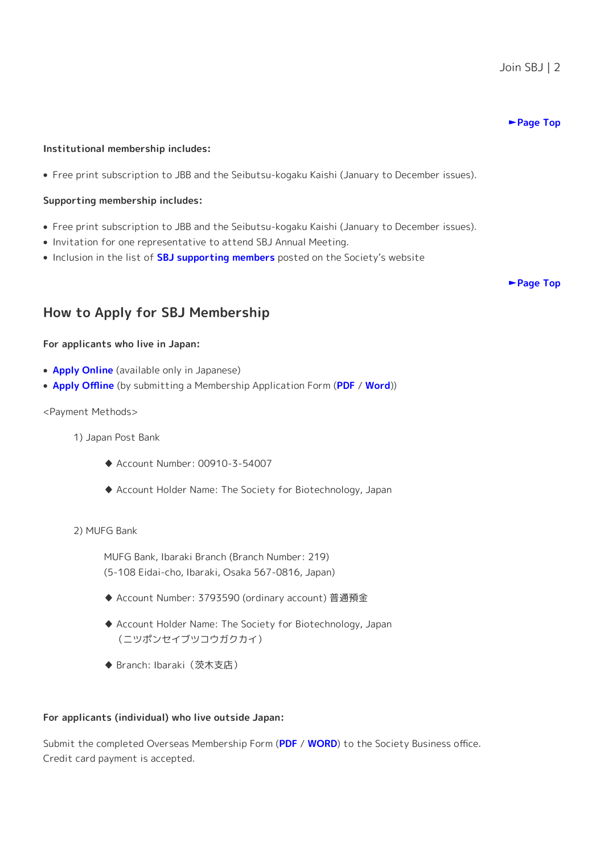#### **[►Page Top](https://www.sbj.or.jp/e/join.html)**

#### **Institutional membership includes:**

Free print subscription to JBB and the Seibutsu-kogaku Kaishi (January to December issues).

#### **Supporting membership includes:**

- Free print subscription to JBB and the Seibutsu-kogaku Kaishi (January to December issues).
- Invitation for one representative to attend SBJ Annual Meeting.
- Inclusion in the list of **[SBJ supporting members](https://www.sbj.or.jp/e/link/link_support.html)** posted on the Society's website

**[►Page Top](https://www.sbj.or.jp/e/join.html)**

# <span id="page-1-0"></span>**How to Apply for SBJ Membership**

#### **For applicants who live in Japan:**

- **[Apply Online](https://www.sbj.or.jp/join/join_online_application.html)** (available only in Japanese)
- **[Apply Offline](https://www.sbj.or.jp/e/join_offline.html)** (by submitting a Membership Application Form (**[PDF](https://www.sbj.or.jp/e/wp-content/uploads/file/join/SBJ_Application_Form_ja.pdf)** / **[Word](https://www.sbj.or.jp/e/wp-content/uploads/file/join/SBJ_Application_Form_ja.docx)**))

#### <Payment Methods>

- 1) Japan Post Bank
	- ♦ Account Number: 00910-3-54007
	- ♦ Account Holder Name: The Society for Biotechnology, Japan

#### 2) MUFG Bank

MUFG Bank, Ibaraki Branch (Branch Number: 219) (5-108 Eidai-cho, Ibaraki, Osaka 567-0816, Japan)

- ♦ Account Number: 3793590 (ordinary account) 普通預金
- ♦ Account Holder Name: The Society for Biotechnology, Japan (ニツポンセイブツコウガクカイ)
- ♦ Branch: Ibaraki(茨木支店)

#### **For applicants (individual) who live outside Japan:**

Submit the completed Overseas Membership Form (**[PDF](https://www.sbj.or.jp/wp-content/uploads/file/join/SBJ_membership_application.pdf)** / **[WORD](https://www.sbj.or.jp/wp-content/uploads/file/join/SBJ_membership_application.docx)**) to the Society Business office. Credit card payment is accepted.